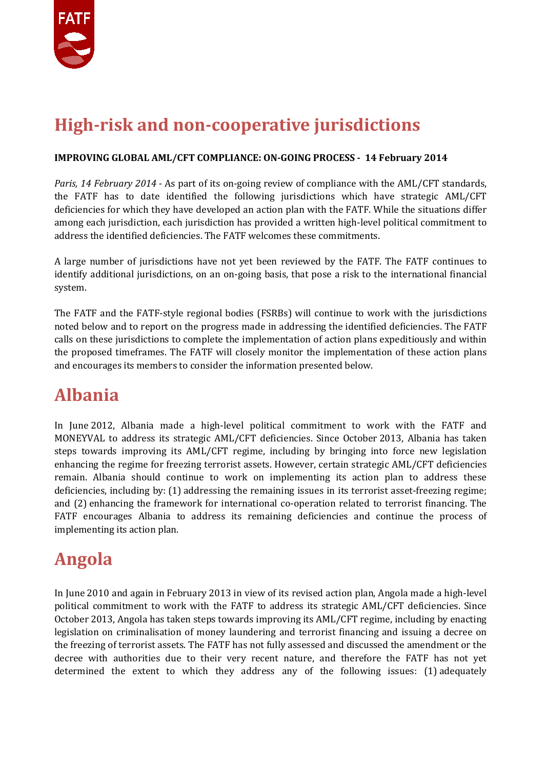

## **High-risk and non-cooperative jurisdictions**

#### **IMPROVING GLOBAL AML/CFT COMPLIANCE: ON-GOING PROCESS - 14 February 2014**

*Paris, 14 February 2014 -* As part of its on-going review of compliance with the AML/CFT standards, the FATF has to date identified the following jurisdictions which have strategic AML/CFT deficiencies for which they have developed an action plan with the FATF. While the situations differ among each jurisdiction, each jurisdiction has provided a written high-level political commitment to address the identified deficiencies. The FATF welcomes these commitments.

A large number of jurisdictions have not yet been reviewed by the FATF. The FATF continues to identify additional jurisdictions, on an on-going basis, that pose a risk to the international financial system.

The FATF and the FATF-style regional bodies (FSRBs) will continue to work with the jurisdictions noted below and to report on the progress made in addressing the identified deficiencies. The FATF calls on these jurisdictions to complete the implementation of action plans expeditiously and within the proposed timeframes. The FATF will closely monitor the implementation of these action plans and encourages its members to consider the information presented below.

#### **Albania**

In June 2012, Albania made a high-level political commitment to work with the FATF and MONEYVAL to address its strategic AML/CFT deficiencies. Since October 2013, Albania has taken steps towards improving its AML/CFT regime, including by bringing into force new legislation enhancing the regime for freezing terrorist assets. However, certain strategic AML/CFT deficiencies remain. Albania should continue to work on implementing its action plan to address these deficiencies, including by: (1) addressing the remaining issues in its terrorist asset-freezing regime; and (2) enhancing the framework for international co-operation related to terrorist financing. The FATF encourages Albania to address its remaining deficiencies and continue the process of implementing its action plan.

#### **Angola**

In June 2010 and again in February 2013 in view of its revised action plan, Angola made a high-level political commitment to work with the FATF to address its strategic AML/CFT deficiencies. Since October 2013, Angola has taken steps towards improving its AML/CFT regime, including by enacting legislation on criminalisation of money laundering and terrorist financing and issuing a decree on the freezing of terrorist assets. The FATF has not fully assessed and discussed the amendment or the decree with authorities due to their very recent nature, and therefore the FATF has not yet determined the extent to which they address any of the following issues: (1) adequately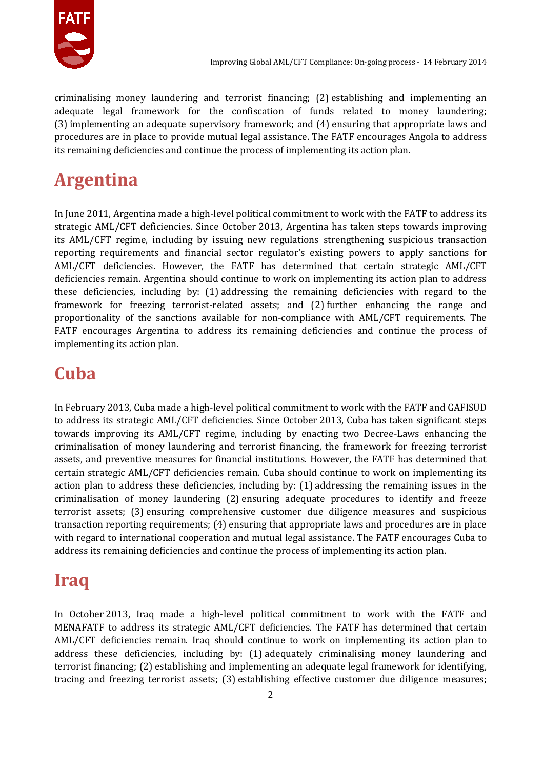

criminalising money laundering and terrorist financing; (2) establishing and implementing an adequate legal framework for the confiscation of funds related to money laundering; (3) implementing an adequate supervisory framework; and (4) ensuring that appropriate laws and procedures are in place to provide mutual legal assistance. The FATF encourages Angola to address its remaining deficiencies and continue the process of implementing its action plan.

## **Argentina**

In June 2011, Argentina made a high-level political commitment to work with the FATF to address its strategic AML/CFT deficiencies. Since October 2013, Argentina has taken steps towards improving its AML/CFT regime, including by issuing new regulations strengthening suspicious transaction reporting requirements and financial sector regulator's existing powers to apply sanctions for AML/CFT deficiencies. However, the FATF has determined that certain strategic AML/CFT deficiencies remain. Argentina should continue to work on implementing its action plan to address these deficiencies, including by: (1) addressing the remaining deficiencies with regard to the framework for freezing terrorist-related assets; and (2) further enhancing the range and proportionality of the sanctions available for non-compliance with AML/CFT requirements. The FATF encourages Argentina to address its remaining deficiencies and continue the process of implementing its action plan.

# **Cuba**

In February 2013, Cuba made a high-level political commitment to work with the FATF and GAFISUD to address its strategic AML/CFT deficiencies. Since October 2013, Cuba has taken significant steps towards improving its AML/CFT regime, including by enacting two Decree-Laws enhancing the criminalisation of money laundering and terrorist financing, the framework for freezing terrorist assets, and preventive measures for financial institutions. However, the FATF has determined that certain strategic AML/CFT deficiencies remain. Cuba should continue to work on implementing its action plan to address these deficiencies, including by: (1) addressing the remaining issues in the criminalisation of money laundering (2) ensuring adequate procedures to identify and freeze terrorist assets; (3) ensuring comprehensive customer due diligence measures and suspicious transaction reporting requirements; (4) ensuring that appropriate laws and procedures are in place with regard to international cooperation and mutual legal assistance. The FATF encourages Cuba to address its remaining deficiencies and continue the process of implementing its action plan.

## **Iraq**

In October 2013, Iraq made a high-level political commitment to work with the FATF and MENAFATF to address its strategic AML/CFT deficiencies. The FATF has determined that certain AML/CFT deficiencies remain. Iraq should continue to work on implementing its action plan to address these deficiencies, including by: (1) adequately criminalising money laundering and terrorist financing; (2) establishing and implementing an adequate legal framework for identifying, tracing and freezing terrorist assets; (3) establishing effective customer due diligence measures;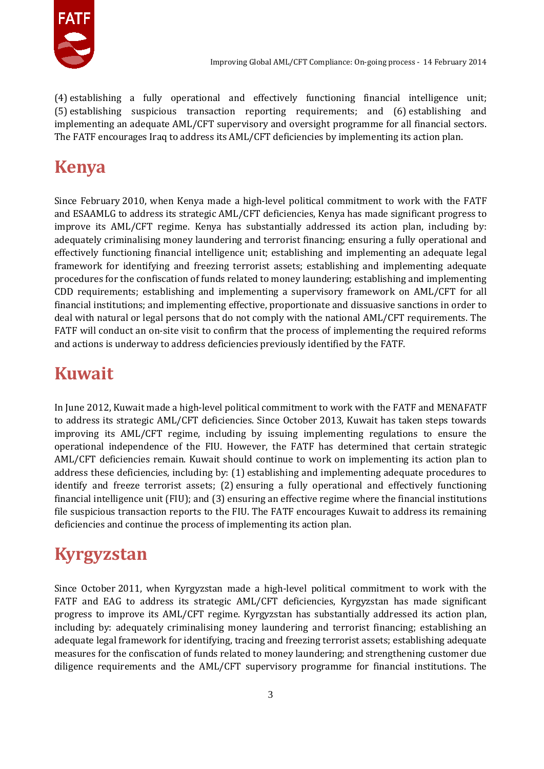

(4) establishing a fully operational and effectively functioning financial intelligence unit; (5) establishing suspicious transaction reporting requirements; and (6) establishing and implementing an adequate AML/CFT supervisory and oversight programme for all financial sectors. The FATF encourages Iraq to address its AML/CFT deficiencies by implementing its action plan.

## **Kenya**

Since February 2010, when Kenya made a high-level political commitment to work with the FATF and ESAAMLG to address its strategic AML/CFT deficiencies, Kenya has made significant progress to improve its AML/CFT regime. Kenya has substantially addressed its action plan, including by: adequately criminalising money laundering and terrorist financing; ensuring a fully operational and effectively functioning financial intelligence unit; establishing and implementing an adequate legal framework for identifying and freezing terrorist assets; establishing and implementing adequate procedures for the confiscation of funds related to money laundering; establishing and implementing CDD requirements; establishing and implementing a supervisory framework on AML/CFT for all financial institutions; and implementing effective, proportionate and dissuasive sanctions in order to deal with natural or legal persons that do not comply with the national AML/CFT requirements. The FATF will conduct an on-site visit to confirm that the process of implementing the required reforms and actions is underway to address deficiencies previously identified by the FATF.

#### **Kuwait**

In June 2012, Kuwait made a high-level political commitment to work with the FATF and MENAFATF to address its strategic AML/CFT deficiencies. Since October 2013, Kuwait has taken steps towards improving its AML/CFT regime, including by issuing implementing regulations to ensure the operational independence of the FIU. However, the FATF has determined that certain strategic AML/CFT deficiencies remain. Kuwait should continue to work on implementing its action plan to address these deficiencies, including by: (1) establishing and implementing adequate procedures to identify and freeze terrorist assets; (2) ensuring a fully operational and effectively functioning financial intelligence unit (FIU); and (3) ensuring an effective regime where the financial institutions file suspicious transaction reports to the FIU. The FATF encourages Kuwait to address its remaining deficiencies and continue the process of implementing its action plan.

## **Kyrgyzstan**

Since October 2011, when Kyrgyzstan made a high-level political commitment to work with the FATF and EAG to address its strategic AML/CFT deficiencies, Kyrgyzstan has made significant progress to improve its AML/CFT regime. Kyrgyzstan has substantially addressed its action plan, including by: adequately criminalising money laundering and terrorist financing; establishing an adequate legal framework for identifying, tracing and freezing terrorist assets; establishing adequate measures for the confiscation of funds related to money laundering; and strengthening customer due diligence requirements and the AML/CFT supervisory programme for financial institutions. The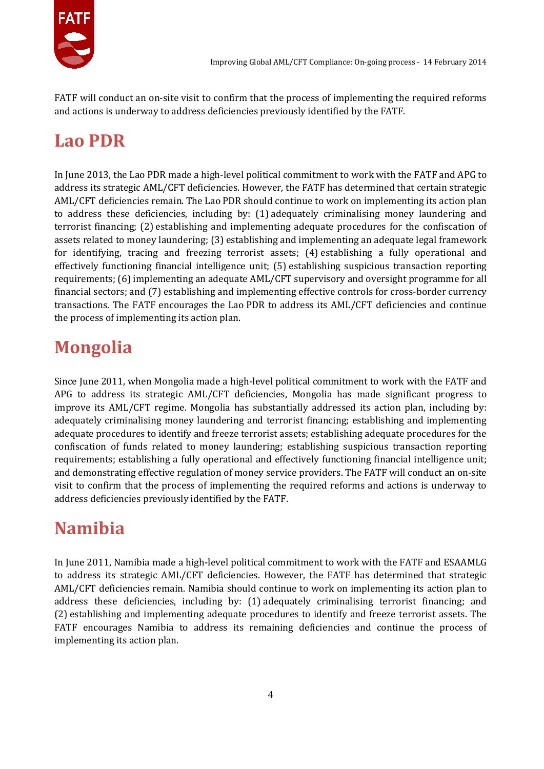

FATF will conduct an on-site visit to confirm that the process of implementing the required reforms and actions is underway to address deficiencies previously identified by the FATF.

## **Lao PDR**

In June 2013, the Lao PDR made a high-level political commitment to work with the FATF and APG to address its strategic AML/CFT deficiencies. However, the FATF has determined that certain strategic AML/CFT deficiencies remain. The Lao PDR should continue to work on implementing its action plan to address these deficiencies, including by: (1) adequately criminalising money laundering and terrorist financing; (2) establishing and implementing adequate procedures for the confiscation of assets related to money laundering; (3) establishing and implementing an adequate legal framework for identifying, tracing and freezing terrorist assets; (4) establishing a fully operational and effectively functioning financial intelligence unit; (5) establishing suspicious transaction reporting requirements; (6) implementing an adequate AML/CFT supervisory and oversight programme for all financial sectors; and (7) establishing and implementing effective controls for cross-border currency transactions. The FATF encourages the Lao PDR to address its AML/CFT deficiencies and continue the process of implementing its action plan.

# **Mongolia**

Since June 2011, when Mongolia made a high-level political commitment to work with the FATF and APG to address its strategic AML/CFT deficiencies, Mongolia has made significant progress to improve its AML/CFT regime. Mongolia has substantially addressed its action plan, including by: adequately criminalising money laundering and terrorist financing; establishing and implementing adequate procedures to identify and freeze terrorist assets; establishing adequate procedures for the confiscation of funds related to money laundering; establishing suspicious transaction reporting requirements; establishing a fully operational and effectively functioning financial intelligence unit; and demonstrating effective regulation of money service providers. The FATF will conduct an on-site visit to confirm that the process of implementing the required reforms and actions is underway to address deficiencies previously identified by the FATF.

# **Namibia**

In June 2011, Namibia made a high-level political commitment to work with the FATF and ESAAMLG to address its strategic AML/CFT deficiencies. However, the FATF has determined that strategic AML/CFT deficiencies remain. Namibia should continue to work on implementing its action plan to address these deficiencies, including by: (1) adequately criminalising terrorist financing; and (2) establishing and implementing adequate procedures to identify and freeze terrorist assets. The FATF encourages Namibia to address its remaining deficiencies and continue the process of implementing its action plan.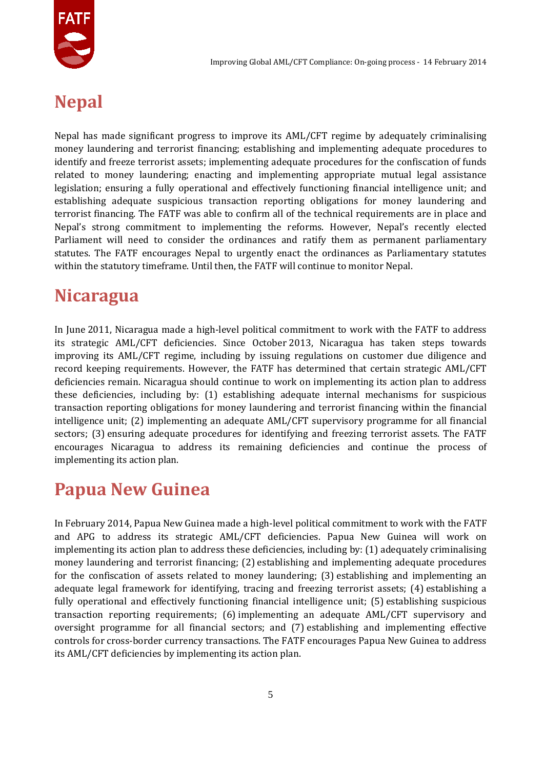

#### **Nepal**

Nepal has made significant progress to improve its AML/CFT regime by adequately criminalising money laundering and terrorist financing; establishing and implementing adequate procedures to identify and freeze terrorist assets; implementing adequate procedures for the confiscation of funds related to money laundering; enacting and implementing appropriate mutual legal assistance legislation; ensuring a fully operational and effectively functioning financial intelligence unit; and establishing adequate suspicious transaction reporting obligations for money laundering and terrorist financing. The FATF was able to confirm all of the technical requirements are in place and Nepal's strong commitment to implementing the reforms. However, Nepal's recently elected Parliament will need to consider the ordinances and ratify them as permanent parliamentary statutes. The FATF encourages Nepal to urgently enact the ordinances as Parliamentary statutes within the statutory timeframe. Until then, the FATF will continue to monitor Nepal.

#### **Nicaragua**

In June 2011, Nicaragua made a high-level political commitment to work with the FATF to address its strategic AML/CFT deficiencies. Since October 2013, Nicaragua has taken steps towards improving its AML/CFT regime, including by issuing regulations on customer due diligence and record keeping requirements. However, the FATF has determined that certain strategic AML/CFT deficiencies remain. Nicaragua should continue to work on implementing its action plan to address these deficiencies, including by: (1) establishing adequate internal mechanisms for suspicious transaction reporting obligations for money laundering and terrorist financing within the financial intelligence unit; (2) implementing an adequate AML/CFT supervisory programme for all financial sectors; (3) ensuring adequate procedures for identifying and freezing terrorist assets. The FATF encourages Nicaragua to address its remaining deficiencies and continue the process of implementing its action plan.

#### **Papua New Guinea**

In February 2014, Papua New Guinea made a high-level political commitment to work with the FATF and APG to address its strategic AML/CFT deficiencies. Papua New Guinea will work on implementing its action plan to address these deficiencies, including by: (1) adequately criminalising money laundering and terrorist financing; (2) establishing and implementing adequate procedures for the confiscation of assets related to money laundering; (3) establishing and implementing an adequate legal framework for identifying, tracing and freezing terrorist assets; (4) establishing a fully operational and effectively functioning financial intelligence unit; (5) establishing suspicious transaction reporting requirements; (6) implementing an adequate AML/CFT supervisory and oversight programme for all financial sectors; and (7) establishing and implementing effective controls for cross-border currency transactions. The FATF encourages Papua New Guinea to address its AML/CFT deficiencies by implementing its action plan.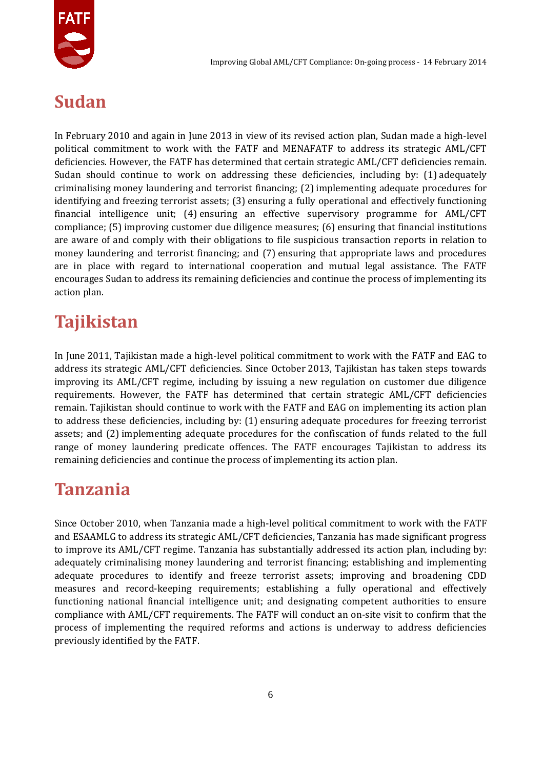

## **Sudan**

In February 2010 and again in June 2013 in view of its revised action plan, Sudan made a high-level political commitment to work with the FATF and MENAFATF to address its strategic AML/CFT deficiencies. However, the FATF has determined that certain strategic AML/CFT deficiencies remain. Sudan should continue to work on addressing these deficiencies, including by: (1) adequately criminalising money laundering and terrorist financing; (2) implementing adequate procedures for identifying and freezing terrorist assets; (3) ensuring a fully operational and effectively functioning financial intelligence unit; (4) ensuring an effective supervisory programme for AML/CFT compliance; (5) improving customer due diligence measures; (6) ensuring that financial institutions are aware of and comply with their obligations to file suspicious transaction reports in relation to money laundering and terrorist financing; and (7) ensuring that appropriate laws and procedures are in place with regard to international cooperation and mutual legal assistance. The FATF encourages Sudan to address its remaining deficiencies and continue the process of implementing its action plan.

## **Tajikistan**

In June 2011, Tajikistan made a high-level political commitment to work with the FATF and EAG to address its strategic AML/CFT deficiencies. Since October 2013, Tajikistan has taken steps towards improving its AML/CFT regime, including by issuing a new regulation on customer due diligence requirements. However, the FATF has determined that certain strategic AML/CFT deficiencies remain. Tajikistan should continue to work with the FATF and EAG on implementing its action plan to address these deficiencies, including by: (1) ensuring adequate procedures for freezing terrorist assets; and (2) implementing adequate procedures for the confiscation of funds related to the full range of money laundering predicate offences. The FATF encourages Tajikistan to address its remaining deficiencies and continue the process of implementing its action plan.

#### **Tanzania**

Since October 2010, when Tanzania made a high-level political commitment to work with the FATF and ESAAMLG to address its strategic AML/CFT deficiencies, Tanzania has made significant progress to improve its AML/CFT regime. Tanzania has substantially addressed its action plan, including by: adequately criminalising money laundering and terrorist financing; establishing and implementing adequate procedures to identify and freeze terrorist assets; improving and broadening CDD measures and record-keeping requirements; establishing a fully operational and effectively functioning national financial intelligence unit; and designating competent authorities to ensure compliance with AML/CFT requirements. The FATF will conduct an on-site visit to confirm that the process of implementing the required reforms and actions is underway to address deficiencies previously identified by the FATF.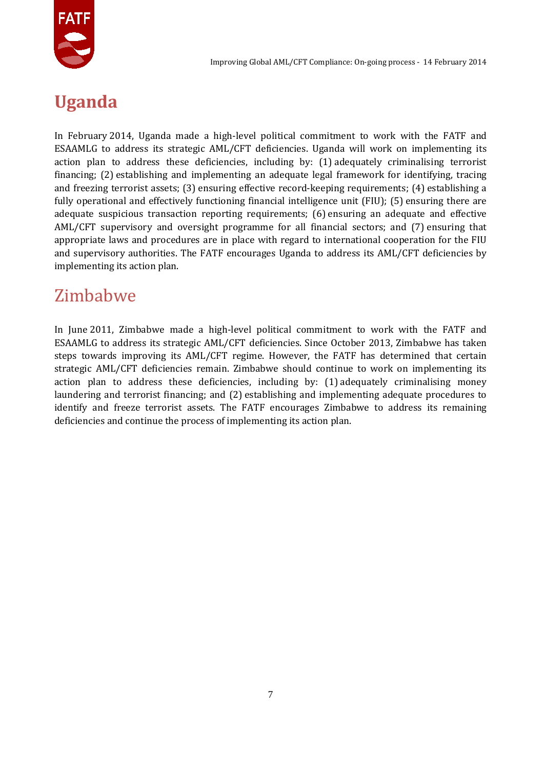

## **Uganda**

In February 2014, Uganda made a high-level political commitment to work with the FATF and ESAAMLG to address its strategic AML/CFT deficiencies. Uganda will work on implementing its action plan to address these deficiencies, including by: (1) adequately criminalising terrorist financing; (2) establishing and implementing an adequate legal framework for identifying, tracing and freezing terrorist assets; (3) ensuring effective record-keeping requirements; (4) establishing a fully operational and effectively functioning financial intelligence unit (FIU); (5) ensuring there are adequate suspicious transaction reporting requirements; (6) ensuring an adequate and effective AML/CFT supervisory and oversight programme for all financial sectors; and (7) ensuring that appropriate laws and procedures are in place with regard to international cooperation for the FIU and supervisory authorities. The FATF encourages Uganda to address its AML/CFT deficiencies by implementing its action plan.

#### Zimbabwe

In June 2011, Zimbabwe made a high-level political commitment to work with the FATF and ESAAMLG to address its strategic AML/CFT deficiencies. Since October 2013, Zimbabwe has taken steps towards improving its AML/CFT regime. However, the FATF has determined that certain strategic AML/CFT deficiencies remain. Zimbabwe should continue to work on implementing its action plan to address these deficiencies, including by: (1) adequately criminalising money laundering and terrorist financing; and (2) establishing and implementing adequate procedures to identify and freeze terrorist assets. The FATF encourages Zimbabwe to address its remaining deficiencies and continue the process of implementing its action plan.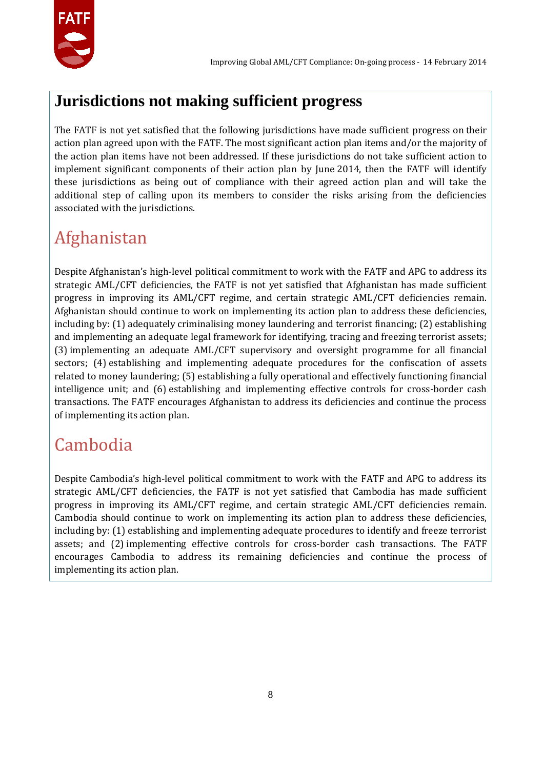

#### **Jurisdictions not making sufficient progress**

The FATF is not yet satisfied that the following jurisdictions have made sufficient progress on their action plan agreed upon with the FATF. The most significant action plan items and/or the majority of the action plan items have not been addressed. If these jurisdictions do not take sufficient action to implement significant components of their action plan by June 2014, then the FATF will identify these jurisdictions as being out of compliance with their agreed action plan and will take the additional step of calling upon its members to consider the risks arising from the deficiencies associated with the jurisdictions.

## Afghanistan

Despite Afghanistan's high-level political commitment to work with the FATF and APG to address its strategic AML/CFT deficiencies, the FATF is not yet satisfied that Afghanistan has made sufficient progress in improving its AML/CFT regime, and certain strategic AML/CFT deficiencies remain. Afghanistan should continue to work on implementing its action plan to address these deficiencies, including by: (1) adequately criminalising money laundering and terrorist financing; (2) establishing and implementing an adequate legal framework for identifying, tracing and freezing terrorist assets; (3) implementing an adequate AML/CFT supervisory and oversight programme for all financial sectors; (4) establishing and implementing adequate procedures for the confiscation of assets related to money laundering; (5) establishing a fully operational and effectively functioning financial intelligence unit; and (6) establishing and implementing effective controls for cross-border cash transactions. The FATF encourages Afghanistan to address its deficiencies and continue the process of implementing its action plan.

## Cambodia

Despite Cambodia's high-level political commitment to work with the FATF and APG to address its strategic AML/CFT deficiencies, the FATF is not yet satisfied that Cambodia has made sufficient progress in improving its AML/CFT regime, and certain strategic AML/CFT deficiencies remain. Cambodia should continue to work on implementing its action plan to address these deficiencies, including by: (1) establishing and implementing adequate procedures to identify and freeze terrorist assets; and (2) implementing effective controls for cross-border cash transactions. The FATF encourages Cambodia to address its remaining deficiencies and continue the process of implementing its action plan.